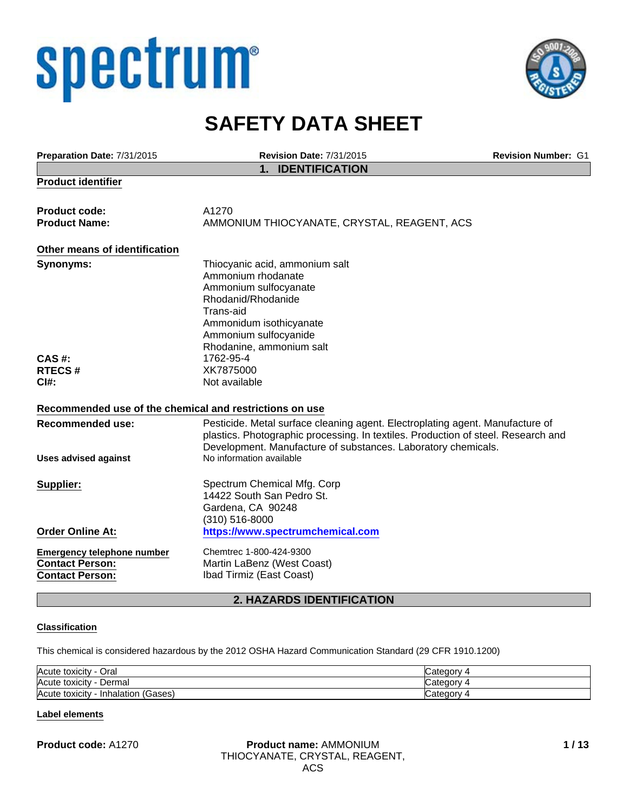# spectrum®



# **SAFETY DATA SHEET**

| Preparation Date: 7/31/2015                                                           | <b>Revision Date: 7/31/2015</b>                                                                                                                                                                                                                                 | <b>Revision Number: G1</b> |
|---------------------------------------------------------------------------------------|-----------------------------------------------------------------------------------------------------------------------------------------------------------------------------------------------------------------------------------------------------------------|----------------------------|
|                                                                                       | 1. IDENTIFICATION                                                                                                                                                                                                                                               |                            |
| <b>Product identifier</b>                                                             |                                                                                                                                                                                                                                                                 |                            |
| <b>Product code:</b><br><b>Product Name:</b>                                          | A1270<br>AMMONIUM THIOCYANATE, CRYSTAL, REAGENT, ACS                                                                                                                                                                                                            |                            |
| Other means of identification                                                         |                                                                                                                                                                                                                                                                 |                            |
| Synonyms:                                                                             | Thiocyanic acid, ammonium salt<br>Ammonium rhodanate<br>Ammonium sulfocyanate<br>Rhodanid/Rhodanide<br>Trans-aid<br>Ammonidum isothicyanate<br>Ammonium sulfocyanide<br>Rhodanine, ammonium salt                                                                |                            |
| <b>CAS#:</b>                                                                          | 1762-95-4                                                                                                                                                                                                                                                       |                            |
| <b>RTECS#</b>                                                                         | XK7875000                                                                                                                                                                                                                                                       |                            |
| $C$ <sub>1#:</sub>                                                                    | Not available                                                                                                                                                                                                                                                   |                            |
| Recommended use of the chemical and restrictions on use                               |                                                                                                                                                                                                                                                                 |                            |
| <b>Recommended use:</b><br><b>Uses advised against</b>                                | Pesticide. Metal surface cleaning agent. Electroplating agent. Manufacture of<br>plastics. Photographic processing. In textiles. Production of steel. Research and<br>Development. Manufacture of substances. Laboratory chemicals.<br>No information available |                            |
| Supplier:                                                                             | Spectrum Chemical Mfg. Corp<br>14422 South San Pedro St.<br>Gardena, CA 90248<br>(310) 516-8000                                                                                                                                                                 |                            |
| <b>Order Online At:</b>                                                               | https://www.spectrumchemical.com                                                                                                                                                                                                                                |                            |
| <b>Emergency telephone number</b><br><b>Contact Person:</b><br><b>Contact Person:</b> | Chemtrec 1-800-424-9300<br>Martin LaBenz (West Coast)<br>Ibad Tirmiz (East Coast)                                                                                                                                                                               |                            |
|                                                                                       |                                                                                                                                                                                                                                                                 |                            |

# **2. HAZARDS IDENTIFICATION**

# **Classification**

This chemical is considered hazardous by the 2012 OSHA Hazard Communication Standard (29 CFR 1910.1200)

| Acute<br>⊃ral<br>toxicity                |  |
|------------------------------------------|--|
| Acute<br>Jermal<br>toxicity              |  |
| Acute<br>Gases<br>toxicity<br>Inhalation |  |

# **Label elements**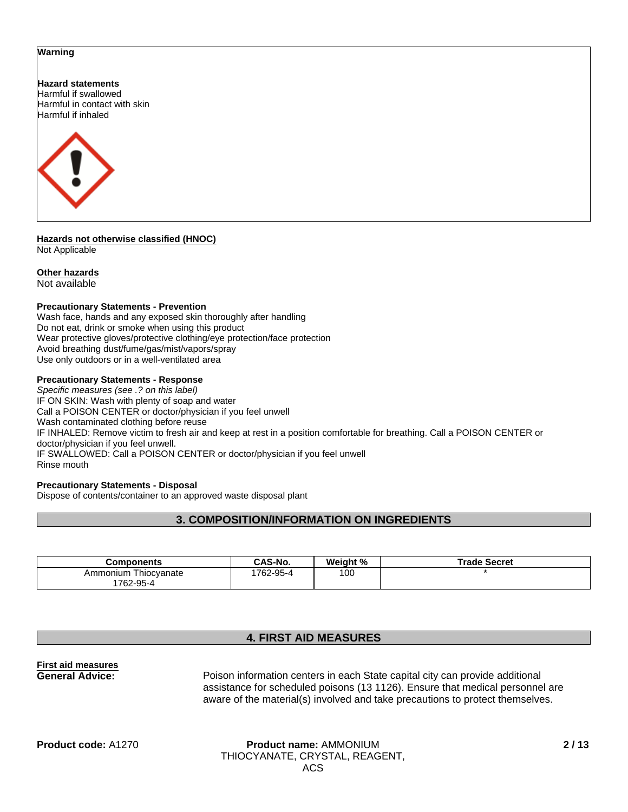#### **Warning**

**Hazard statements** Harmful if swallowed Harmful in contact with skin Harmful if inhaled



**Hazards not otherwise classified (HNOC)** Not Applicable

# **Other hazards**

Not available

#### **Precautionary Statements - Prevention**

Wash face, hands and any exposed skin thoroughly after handling Do not eat, drink or smoke when using this product Wear protective gloves/protective clothing/eye protection/face protection Avoid breathing dust/fume/gas/mist/vapors/spray Use only outdoors or in a well-ventilated area

#### **Precautionary Statements - Response**

*Specific measures (see .? on this label)* IF ON SKIN: Wash with plenty of soap and water Call a POISON CENTER or doctor/physician if you feel unwell Wash contaminated clothing before reuse IF INHALED: Remove victim to fresh air and keep at rest in a position comfortable for breathing. Call a POISON CENTER or doctor/physician if you feel unwell. IF SWALLOWED: Call a POISON CENTER or doctor/physician if you feel unwell Rinse mouth

# **Precautionary Statements - Disposal**

Dispose of contents/container to an approved waste disposal plant

# **3. COMPOSITION/INFORMATION ON INGREDIENTS**

| Components                           | CAS-No.  | Weight % | Trade Secret |
|--------------------------------------|----------|----------|--------------|
| Ammonium<br>I hiocyanate<br>762-95-4 | 762-95-4 | 100      |              |

# **4. FIRST AID MEASURES**

# **First aid measures**

**General Advice:** Poison information centers in each State capital city can provide additional assistance for scheduled poisons (13 1126). Ensure that medical personnel are aware of the material(s) involved and take precautions to protect themselves.

# **Product code:** A1270 **Product name:** AMMONIUM THIOCYANATE, CRYSTAL, REAGENT, ACS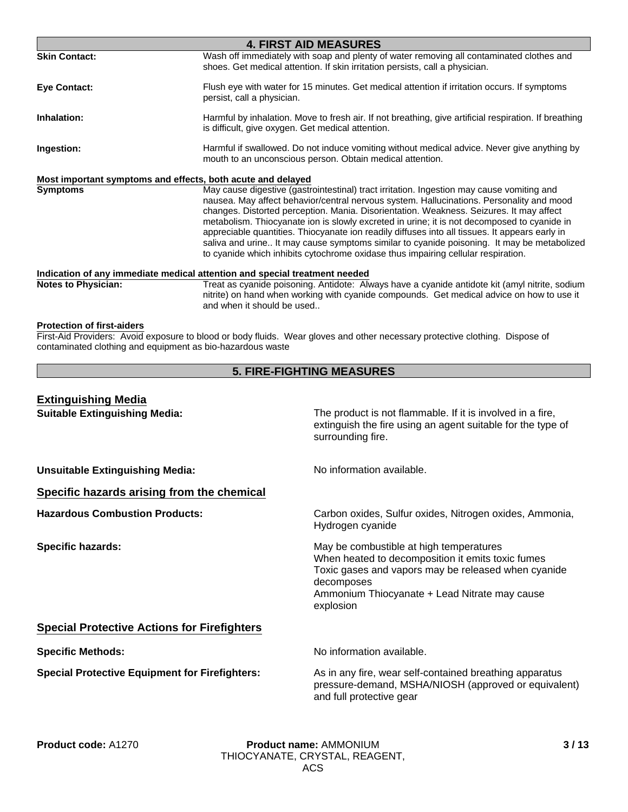| Wash off immediately with soap and plenty of water removing all contaminated clothes and<br>shoes. Get medical attention. If skin irritation persists, call a physician.<br>Flush eye with water for 15 minutes. Get medical attention if irritation occurs. If symptoms<br>persist, call a physician.<br>Harmful by inhalation. Move to fresh air. If not breathing, give artificial respiration. If breathing<br>is difficult, give oxygen. Get medical attention.<br>Harmful if swallowed. Do not induce vomiting without medical advice. Never give anything by<br>mouth to an unconscious person. Obtain medical attention.<br>Most important symptoms and effects, both acute and delayed<br>May cause digestive (gastrointestinal) tract irritation. Ingestion may cause vomiting and<br>nausea. May affect behavior/central nervous system. Hallucinations. Personality and mood<br>changes. Distorted perception. Mania. Disorientation. Weakness. Seizures. It may affect<br>metabolism. Thiocyanate ion is slowly excreted in urine; it is not decomposed to cyanide in<br>appreciable quantities. Thiocyanate ion readily diffuses into all tissues. It appears early in<br>saliva and urine It may cause symptoms similar to cyanide poisoning. It may be metabolized<br>to cyanide which inhibits cytochrome oxidase thus impairing cellular respiration.<br>Indication of any immediate medical attention and special treatment needed<br>Treat as cyanide poisoning. Antidote: Always have a cyanide antidote kit (amyl nitrite, sodium<br>nitrite) on hand when working with cyanide compounds. Get medical advice on how to use it<br>and when it should be used<br><b>5. FIRE-FIGHTING MEASURES</b> |                                                                                                                                                                                                                                 | <b>4. FIRST AID MEASURES</b> |  |
|------------------------------------------------------------------------------------------------------------------------------------------------------------------------------------------------------------------------------------------------------------------------------------------------------------------------------------------------------------------------------------------------------------------------------------------------------------------------------------------------------------------------------------------------------------------------------------------------------------------------------------------------------------------------------------------------------------------------------------------------------------------------------------------------------------------------------------------------------------------------------------------------------------------------------------------------------------------------------------------------------------------------------------------------------------------------------------------------------------------------------------------------------------------------------------------------------------------------------------------------------------------------------------------------------------------------------------------------------------------------------------------------------------------------------------------------------------------------------------------------------------------------------------------------------------------------------------------------------------------------------------------------------------------------------------------------------------------------|---------------------------------------------------------------------------------------------------------------------------------------------------------------------------------------------------------------------------------|------------------------------|--|
|                                                                                                                                                                                                                                                                                                                                                                                                                                                                                                                                                                                                                                                                                                                                                                                                                                                                                                                                                                                                                                                                                                                                                                                                                                                                                                                                                                                                                                                                                                                                                                                                                                                                                                                        | <b>Skin Contact:</b>                                                                                                                                                                                                            |                              |  |
|                                                                                                                                                                                                                                                                                                                                                                                                                                                                                                                                                                                                                                                                                                                                                                                                                                                                                                                                                                                                                                                                                                                                                                                                                                                                                                                                                                                                                                                                                                                                                                                                                                                                                                                        | <b>Eve Contact:</b>                                                                                                                                                                                                             |                              |  |
|                                                                                                                                                                                                                                                                                                                                                                                                                                                                                                                                                                                                                                                                                                                                                                                                                                                                                                                                                                                                                                                                                                                                                                                                                                                                                                                                                                                                                                                                                                                                                                                                                                                                                                                        | Inhalation:                                                                                                                                                                                                                     |                              |  |
|                                                                                                                                                                                                                                                                                                                                                                                                                                                                                                                                                                                                                                                                                                                                                                                                                                                                                                                                                                                                                                                                                                                                                                                                                                                                                                                                                                                                                                                                                                                                                                                                                                                                                                                        | Ingestion:                                                                                                                                                                                                                      |                              |  |
|                                                                                                                                                                                                                                                                                                                                                                                                                                                                                                                                                                                                                                                                                                                                                                                                                                                                                                                                                                                                                                                                                                                                                                                                                                                                                                                                                                                                                                                                                                                                                                                                                                                                                                                        |                                                                                                                                                                                                                                 |                              |  |
|                                                                                                                                                                                                                                                                                                                                                                                                                                                                                                                                                                                                                                                                                                                                                                                                                                                                                                                                                                                                                                                                                                                                                                                                                                                                                                                                                                                                                                                                                                                                                                                                                                                                                                                        | <b>Symptoms</b>                                                                                                                                                                                                                 |                              |  |
|                                                                                                                                                                                                                                                                                                                                                                                                                                                                                                                                                                                                                                                                                                                                                                                                                                                                                                                                                                                                                                                                                                                                                                                                                                                                                                                                                                                                                                                                                                                                                                                                                                                                                                                        |                                                                                                                                                                                                                                 |                              |  |
|                                                                                                                                                                                                                                                                                                                                                                                                                                                                                                                                                                                                                                                                                                                                                                                                                                                                                                                                                                                                                                                                                                                                                                                                                                                                                                                                                                                                                                                                                                                                                                                                                                                                                                                        | <b>Notes to Physician:</b>                                                                                                                                                                                                      |                              |  |
|                                                                                                                                                                                                                                                                                                                                                                                                                                                                                                                                                                                                                                                                                                                                                                                                                                                                                                                                                                                                                                                                                                                                                                                                                                                                                                                                                                                                                                                                                                                                                                                                                                                                                                                        | <b>Protection of first-aiders</b><br>First-Aid Providers: Avoid exposure to blood or body fluids. Wear gloves and other necessary protective clothing. Dispose of<br>contaminated clothing and equipment as bio-hazardous waste |                              |  |
|                                                                                                                                                                                                                                                                                                                                                                                                                                                                                                                                                                                                                                                                                                                                                                                                                                                                                                                                                                                                                                                                                                                                                                                                                                                                                                                                                                                                                                                                                                                                                                                                                                                                                                                        |                                                                                                                                                                                                                                 |                              |  |

| <b>Extinguishing Media</b>                            |                                                                                                                                                                                                                                 |
|-------------------------------------------------------|---------------------------------------------------------------------------------------------------------------------------------------------------------------------------------------------------------------------------------|
| <b>Suitable Extinguishing Media:</b>                  | The product is not flammable. If it is involved in a fire,<br>extinguish the fire using an agent suitable for the type of<br>surrounding fire.                                                                                  |
| <b>Unsuitable Extinguishing Media:</b>                | No information available.                                                                                                                                                                                                       |
| Specific hazards arising from the chemical            |                                                                                                                                                                                                                                 |
| <b>Hazardous Combustion Products:</b>                 | Carbon oxides, Sulfur oxides, Nitrogen oxides, Ammonia,<br>Hydrogen cyanide                                                                                                                                                     |
| <b>Specific hazards:</b>                              | May be combustible at high temperatures<br>When heated to decomposition it emits toxic fumes<br>Toxic gases and vapors may be released when cyanide<br>decomposes<br>Ammonium Thiocyanate + Lead Nitrate may cause<br>explosion |
| <b>Special Protective Actions for Firefighters</b>    |                                                                                                                                                                                                                                 |
| <b>Specific Methods:</b>                              | No information available.                                                                                                                                                                                                       |
| <b>Special Protective Equipment for Firefighters:</b> | As in any fire, wear self-contained breathing apparatus<br>pressure-demand, MSHA/NIOSH (approved or equivalent)<br>and full protective gear                                                                                     |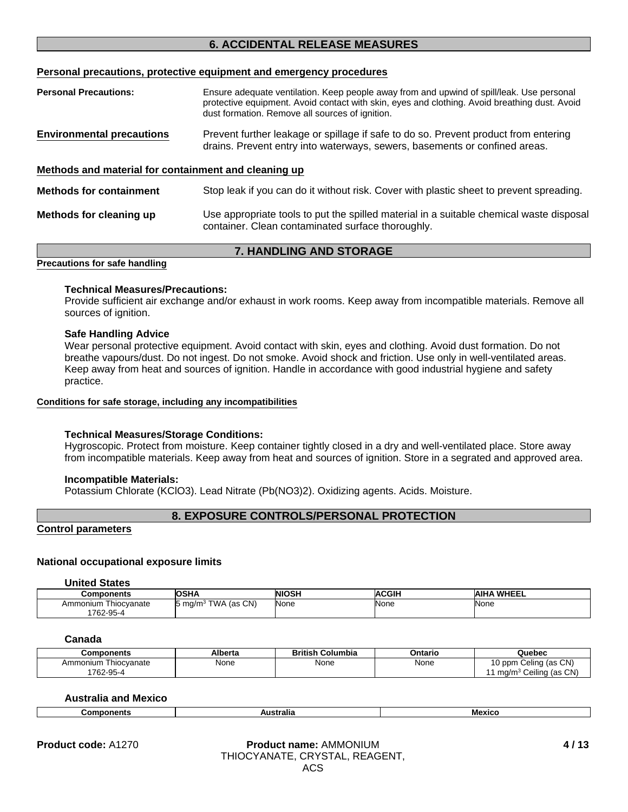# **6. ACCIDENTAL RELEASE MEASURES**

# **Personal precautions, protective equipment and emergency procedures**

| <b>Personal Precautions:</b>                         | Ensure adequate ventilation. Keep people away from and upwind of spill/leak. Use personal<br>protective equipment. Avoid contact with skin, eyes and clothing. Avoid breathing dust. Avoid |
|------------------------------------------------------|--------------------------------------------------------------------------------------------------------------------------------------------------------------------------------------------|
|                                                      | dust formation. Remove all sources of ignition.                                                                                                                                            |
| <b>Environmental precautions</b>                     | Prevent further leakage or spillage if safe to do so. Prevent product from entering<br>drains. Prevent entry into waterways, sewers, basements or confined areas.                          |
| Methods and material for containment and cleaning up |                                                                                                                                                                                            |
| <b>Methods for containment</b>                       | Stop leak if you can do it without risk. Cover with plastic sheet to prevent spreading.                                                                                                    |
| Methods for cleaning up                              | Use appropriate tools to put the spilled material in a suitable chemical waste disposal<br>container. Clean contaminated surface thoroughly.                                               |
|                                                      | <b>7. HANDLING AND STORAGE</b>                                                                                                                                                             |

# **Precautions for safe handling**

### **Technical Measures/Precautions:**

Provide sufficient air exchange and/or exhaust in work rooms. Keep away from incompatible materials. Remove all sources of ignition.

#### **Safe Handling Advice**

Wear personal protective equipment. Avoid contact with skin, eyes and clothing. Avoid dust formation. Do not breathe vapours/dust. Do not ingest. Do not smoke. Avoid shock and friction. Use only in well-ventilated areas. Keep away from heat and sources of ignition. Handle in accordance with good industrial hygiene and safety practice.

#### **Conditions for safe storage, including any incompatibilities**

# **Technical Measures/Storage Conditions:**

Hygroscopic. Protect from moisture. Keep container tightly closed in a dry and well-ventilated place. Store away from incompatible materials. Keep away from heat and sources of ignition. Store in a segrated and approved area.

# **Incompatible Materials:**

Potassium Chlorate (KClO3). Lead Nitrate (Pb(NO3)2). Oxidizing agents. Acids. Moisture.

# **8. EXPOSURE CONTROLS/PERSONAL PROTECTION**

# **Control parameters**

# **National occupational exposure limits**

#### **United States**

| Components              | <b>OSHA</b>                        | <b>NIOSH</b> | <b>ACGIH</b> | <b>AIHA WHEEL</b> |
|-------------------------|------------------------------------|--------------|--------------|-------------------|
| Thiocvanate<br>Ammonium | TWA (as CN)<br>$15 \text{ ma/m}^3$ | None         | None         | None              |
| 1762-95-4               |                                    |              |              |                   |

#### **Canada**

| Components              | Alberta | Columbia<br>British | Ontario | Quebec                                                        |
|-------------------------|---------|---------------------|---------|---------------------------------------------------------------|
| Ammonium<br>Thiocvanate | None    | None                | None    | 10 ppm Celing (as CN)<br>Ceiling (as CN)<br>ma/m <sup>3</sup> |
| 762-95-4                |         |                     |         |                                                               |

# **Australia and Mexico**

| Components | ustralia | <b>Mexicc</b> |
|------------|----------|---------------|
|            |          |               |

#### **Product name:** AMMONIUM **Product code:** A1270 **4 / 13**THIOCYANATE, CRYSTAL, REAGENT, ACS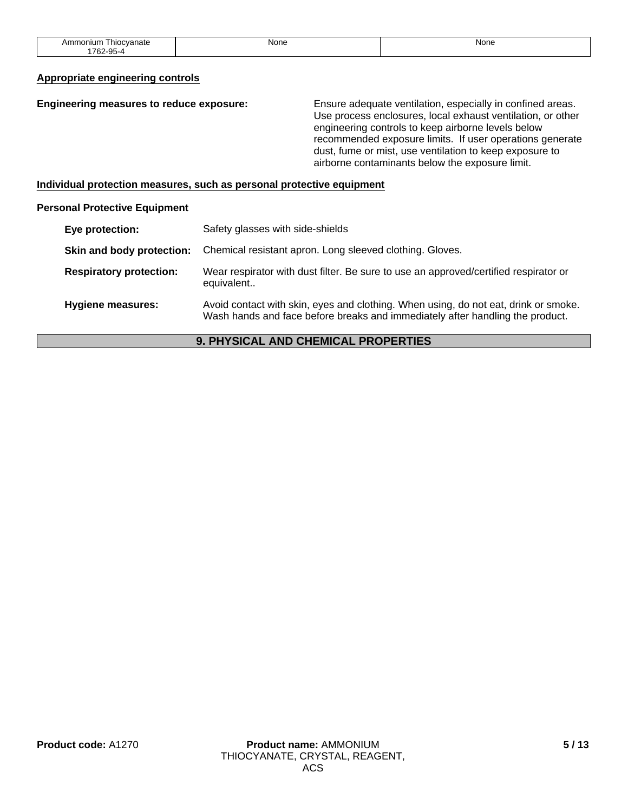| _<br>Ammonium<br>' hiocvanate<br>. | None<br>____ | Non∈<br>___ |
|------------------------------------|--------------|-------------|
| 1762-95                            |              |             |

# **Appropriate engineering controls**

| Engineering measures to reduce exposure:<br>Ensure adequate ventilation, especially in confined areas.<br>Use process enclosures, local exhaust ventilation, or other<br>engineering controls to keep airborne levels below<br>recommended exposure limits. If user operations generate<br>dust, fume or mist, use ventilation to keep exposure to<br>airborne contaminants below the exposure limit. |
|-------------------------------------------------------------------------------------------------------------------------------------------------------------------------------------------------------------------------------------------------------------------------------------------------------------------------------------------------------------------------------------------------------|
|-------------------------------------------------------------------------------------------------------------------------------------------------------------------------------------------------------------------------------------------------------------------------------------------------------------------------------------------------------------------------------------------------------|

**Individual protection measures, such as personal protective equipment**

# **Personal Protective Equipment**

| Eye protection:                | Safety glasses with side-shields                                                                                                                                     |
|--------------------------------|----------------------------------------------------------------------------------------------------------------------------------------------------------------------|
| Skin and body protection:      | Chemical resistant apron. Long sleeved clothing. Gloves.                                                                                                             |
| <b>Respiratory protection:</b> | Wear respirator with dust filter. Be sure to use an approved/certified respirator or<br>equivalent                                                                   |
| <b>Hygiene measures:</b>       | Avoid contact with skin, eyes and clothing. When using, do not eat, drink or smoke.<br>Wash hands and face before breaks and immediately after handling the product. |

# **9. PHYSICAL AND CHEMICAL PROPERTIES**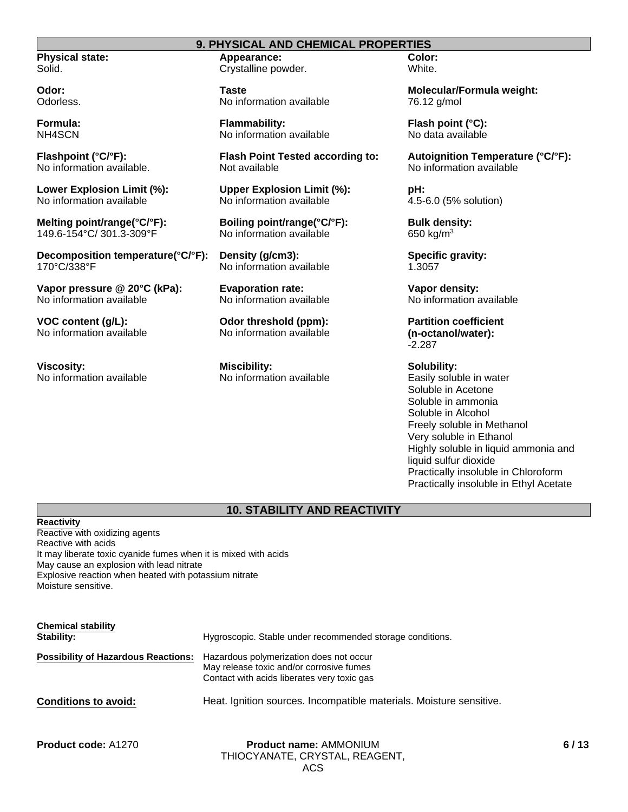# **9. PHYSICAL AND CHEMICAL PROPERTIES**

**Physical state:** Solid.

**Odor:** Odorless.

**Formula:** NH4SCN

**Flashpoint (°C/°F):** No information available.

**Lower Explosion Limit (%):** No information available

**Melting point/range(°C/°F):** 149.6-154°C/ 301.3-309°F

**Decomposition temperature(°C/°F):** 170°C/338°F

**Vapor pressure @ 20°C (kPa):** No information available

**VOC content (g/L):** No information available

**Viscosity:** No information available **Appearance:** Crystalline powder.

**Taste** No information available

**Flammability:** No information available

**Flash Point Tested according to:** Not available

**Upper Explosion Limit (%):** No information available

**Boiling point/range(°C/°F):** No information available

**Density (g/cm3):** No information available

**Evaporation rate:** No information available

**Odor threshold (ppm):** No information available

**Miscibility:** No information available **Color:** White.

**Molecular/Formula weight:** 76.12 g/mol

**Flash point (°C):** No data available

**Autoignition Temperature (°C/°F):** No information available

**pH:** 4.5-6.0 (5% solution)

**Bulk density:** 650 kg/ $m<sup>3</sup>$ 

**Specific gravity:** 1.3057

**Vapor density:** No information available

**Partition coefficient (n-octanol/water):** -2.287

**Solubility:** Easily soluble in water Soluble in Acetone Soluble in ammonia Soluble in Alcohol Freely soluble in Methanol Very soluble in Ethanol Highly soluble in liquid ammonia and liquid sulfur dioxide Practically insoluble in Chloroform Practically insoluble in Ethyl Acetate

# **10. STABILITY AND REACTIVITY**

**Reactivity** Reactive with oxidizing agents Reactive with acids It may liberate toxic cyanide fumes when it is mixed with acids May cause an explosion with lead nitrate Explosive reaction when heated with potassium nitrate Moisture sensitive.

| <b>Chemical stability</b><br>Stability:    | Hygroscopic. Stable under recommended storage conditions.                                                                          |
|--------------------------------------------|------------------------------------------------------------------------------------------------------------------------------------|
| <b>Possibility of Hazardous Reactions:</b> | Hazardous polymerization does not occur<br>May release toxic and/or corrosive fumes<br>Contact with acids liberates very toxic gas |
| <b>Conditions to avoid:</b>                | Heat. Ignition sources. Incompatible materials. Moisture sensitive.                                                                |

**Product code:** A1270 **Product name:** AMMONIUM THIOCYANATE, CRYSTAL, REAGENT, ACS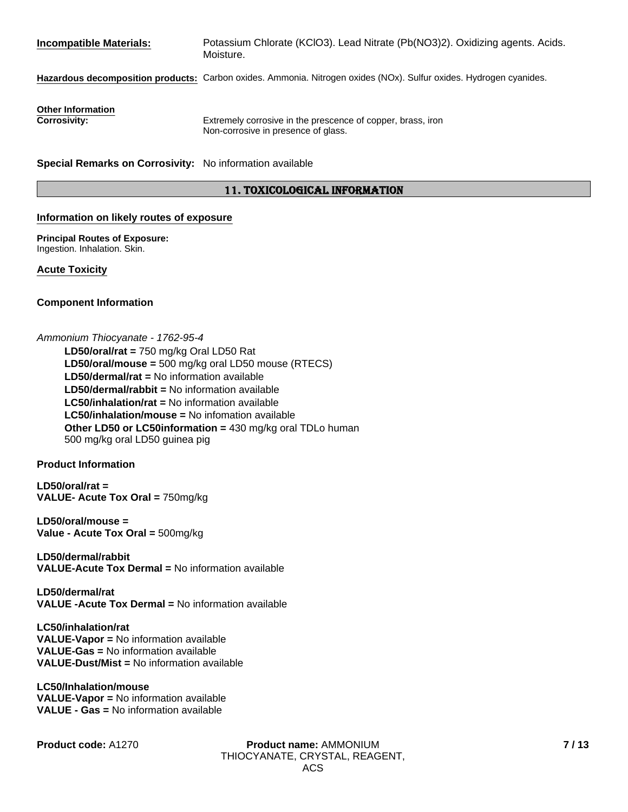| <b>Incompatible Materials:</b>                           | Potassium Chlorate (KClO3). Lead Nitrate (Pb(NO3)2). Oxidizing agents. Acids.<br>Moisture.                         |
|----------------------------------------------------------|--------------------------------------------------------------------------------------------------------------------|
|                                                          | Hazardous decomposition products: Carbon oxides. Ammonia. Nitrogen oxides (NOx). Sulfur oxides. Hydrogen cyanides. |
| <b>Other Information</b><br><b>Corrosivity:</b>          | Extremely corrosive in the prescence of copper, brass, iron<br>Non-corrosive in presence of glass.                 |
| Special Remarks on Corrosivity: No information available |                                                                                                                    |

# 11. TOXICOLOGICAL INFORMATION

#### **Information on likely routes of exposure**

**Principal Routes of Exposure:** Ingestion. Inhalation. Skin.

**Acute Toxicity**

# **Component Information**

### *Ammonium Thiocyanate - 1762-95-4*

**Other LD50 or LC50information =** 430 mg/kg oral TDLo human 500 mg/kg oral LD50 guinea pig **LD50/dermal/rat =** No information available **LD50/dermal/rabbit =** No information available **LC50/inhalation/rat =** No information available **LD50/oral/mouse =** 500 mg/kg oral LD50 mouse (RTECS) **LC50/inhalation/mouse =** No infomation available **LD50/oral/rat =** 750 mg/kg Oral LD50 Rat

# **Product Information**

**LD50/oral/rat = VALUE- Acute Tox Oral =** 750mg/kg

**LD50/oral/mouse = Value - Acute Tox Oral =** 500mg/kg

**LD50/dermal/rabbit VALUE-Acute Tox Dermal =** No information available

**LD50/dermal/rat VALUE -Acute Tox Dermal =** No information available

**LC50/inhalation/rat VALUE-Vapor =** No information available **VALUE-Gas =** No information available **VALUE-Dust/Mist =** No information available

**LC50/Inhalation/mouse VALUE-Vapor =** No information available **VALUE - Gas =** No information available

**Product code:** A1270 **Product name:** AMMONIUM THIOCYANATE, CRYSTAL, REAGENT, ACS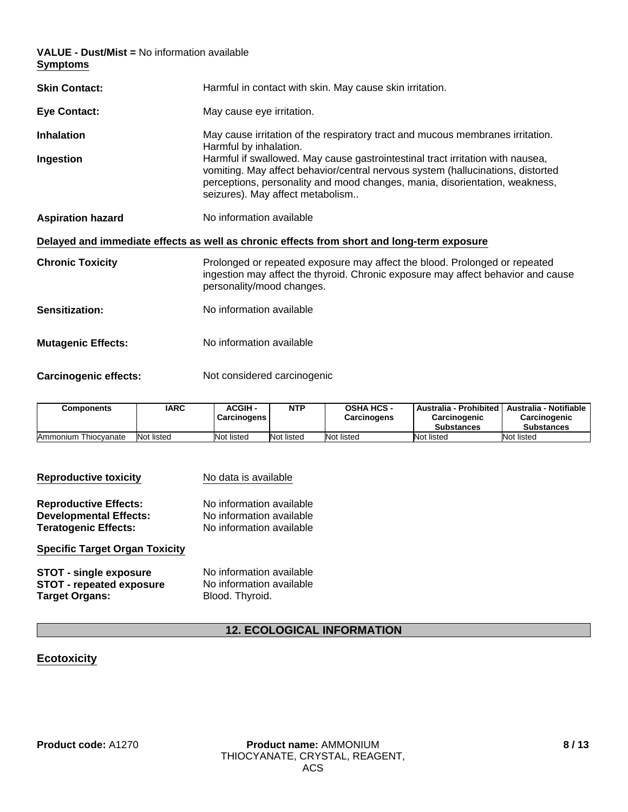**VALUE - Dust/Mist =** No information available **Symptoms**

| <b>Skin Contact:</b>         | Harmful in contact with skin. May cause skin irritation.                                                                                                                                                                                                                             |
|------------------------------|--------------------------------------------------------------------------------------------------------------------------------------------------------------------------------------------------------------------------------------------------------------------------------------|
| <b>Eye Contact:</b>          | May cause eye irritation.                                                                                                                                                                                                                                                            |
| <b>Inhalation</b>            | May cause irritation of the respiratory tract and mucous membranes irritation.<br>Harmful by inhalation.                                                                                                                                                                             |
| Ingestion                    | Harmful if swallowed. May cause gastrointestinal tract irritation with nausea,<br>vomiting. May affect behavior/central nervous system (hallucinations, distorted<br>perceptions, personality and mood changes, mania, disorientation, weakness,<br>seizures). May affect metabolism |
| <b>Aspiration hazard</b>     | No information available                                                                                                                                                                                                                                                             |
|                              | Delayed and immediate effects as well as chronic effects from short and long-term exposure                                                                                                                                                                                           |
| <b>Chronic Toxicity</b>      | Prolonged or repeated exposure may affect the blood. Prolonged or repeated<br>ingestion may affect the thyroid. Chronic exposure may affect behavior and cause<br>personality/mood changes.                                                                                          |
| <b>Sensitization:</b>        | No information available                                                                                                                                                                                                                                                             |
| <b>Mutagenic Effects:</b>    | No information available                                                                                                                                                                                                                                                             |
| <b>Carcinogenic effects:</b> | Not considered carcinogenic                                                                                                                                                                                                                                                          |

| <b>Components</b>    | IARC       | <b>ACGIH -</b><br>Carcinogens | <b>NTP</b> | <b>OSHA HCS -</b><br>  Australia - Prohibited  <br>Carcinogenic<br><b>Carcinogens</b><br><b>Substances</b> |            | Australia - Notifiable<br>Carcinogenic<br><b>Substances</b> |
|----------------------|------------|-------------------------------|------------|------------------------------------------------------------------------------------------------------------|------------|-------------------------------------------------------------|
| Ammonium Thiocvanate | Not listed | Not listed                    | Not listed | Not listed                                                                                                 | Not listed | Not listed                                                  |

| <b>Reproductive toxicity</b>          | No data is available     |  |  |  |
|---------------------------------------|--------------------------|--|--|--|
| <b>Reproductive Effects:</b>          | No information available |  |  |  |
| <b>Developmental Effects:</b>         | No information available |  |  |  |
| <b>Teratogenic Effects:</b>           | No information available |  |  |  |
| <b>Specific Target Organ Toxicity</b> |                          |  |  |  |
| <b>STOT - single exposure</b>         | No information available |  |  |  |
| <b>STOT - repeated exposure</b>       | No information available |  |  |  |
| <b>Target Organs:</b>                 | Blood. Thyroid.          |  |  |  |

# **12. ECOLOGICAL INFORMATION**

# **Ecotoxicity**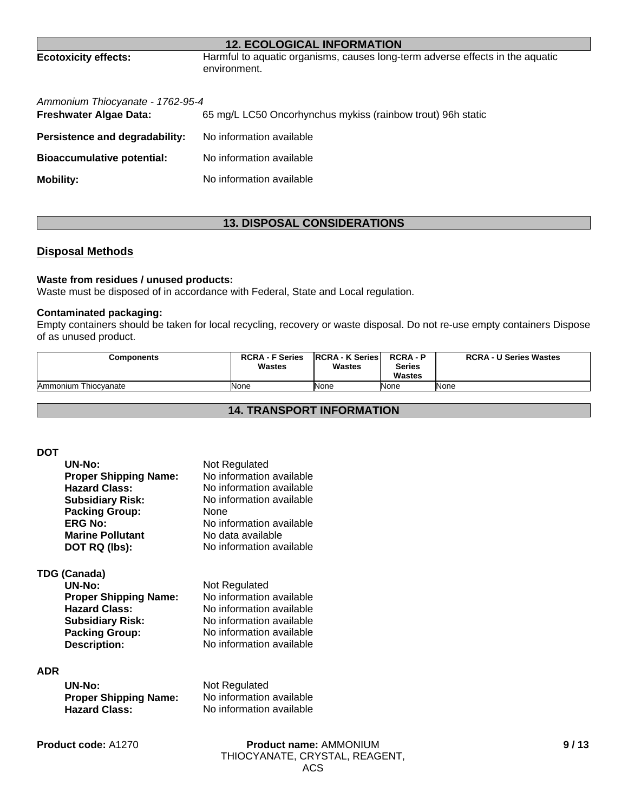# **12. ECOLOGICAL INFORMATION**

**Ecotoxicity effects:** Harmful to aquatic organisms, causes long-term adverse effects in the aquatic environment.

| Ammonium Thiocyanate - 1762-95-4<br>Freshwater Algae Data: | 65 mg/L LC50 Oncorhynchus mykiss (rainbow trout) 96h static |
|------------------------------------------------------------|-------------------------------------------------------------|
| Persistence and degradability:                             | No information available                                    |
| <b>Bioaccumulative potential:</b>                          | No information available                                    |
| <b>Mobility:</b>                                           | No information available                                    |

# **13. DISPOSAL CONSIDERATIONS**

# **Disposal Methods**

# **Waste from residues / unused products:**

Waste must be disposed of in accordance with Federal, State and Local regulation.

### **Contaminated packaging:**

Empty containers should be taken for local recycling, recovery or waste disposal. Do not re-use empty containers Dispose of as unused product.

| Components           | <b>RCRA - F Series</b><br>Wastes | <b>IRCRA - K Series</b><br><b>Wastes</b> | <b>RCRA-P</b><br><b>Series</b><br><b>Wastes</b> | <b>RCRA - U Series Wastes</b> |
|----------------------|----------------------------------|------------------------------------------|-------------------------------------------------|-------------------------------|
| Ammonium Thiocvanate | None                             | None                                     | None                                            | None                          |

# **14. TRANSPORT INFORMATION**

#### **DOT**

| UN-No:                       | Not Regulated            |
|------------------------------|--------------------------|
| <b>Proper Shipping Name:</b> | No information available |
| <b>Hazard Class:</b>         | No information available |
| <b>Subsidiary Risk:</b>      | No information available |
| <b>Packing Group:</b>        | <b>None</b>              |
| <b>ERG No:</b>               | No information available |
| <b>Marine Pollutant</b>      | No data available        |
| DOT RQ (lbs):                | No information available |

# **TDG (Canada)**

| UN-No:                       | Not Regulated            |
|------------------------------|--------------------------|
| <b>Proper Shipping Name:</b> | No information available |
| <b>Hazard Class:</b>         | No information available |
| Subsidiary Risk:             | No information available |
| <b>Packing Group:</b>        | No information available |
| <b>Description:</b>          | No information available |

# **ADR**

| UN-No:                       | Not Regulated            |
|------------------------------|--------------------------|
| <b>Proper Shipping Name:</b> | No information available |
| <b>Hazard Class:</b>         | No information available |

**Product code:** A1270

**Product name:** AMMONIUM THIOCYANATE, CRYSTAL, REAGENT, ACS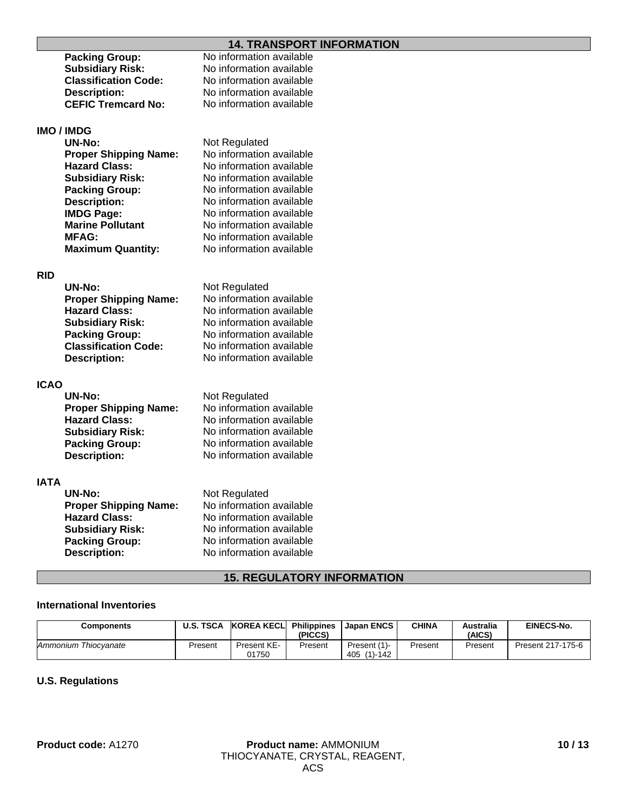# **14. TRANSPORT INFORMATION**

|             |                              | <u>ET HARD ON HILL ON HE LIGHT</u>        |
|-------------|------------------------------|-------------------------------------------|
|             | <b>Packing Group:</b>        | No information available                  |
|             | <b>Subsidiary Risk:</b>      | No information available                  |
|             | <b>Classification Code:</b>  | No information available                  |
|             | <b>Description:</b>          | No information available                  |
|             | <b>CEFIC Tremcard No:</b>    | No information available                  |
|             |                              |                                           |
|             | <b>IMO / IMDG</b>            |                                           |
|             | <b>UN-No:</b>                | Not Regulated                             |
|             | <b>Proper Shipping Name:</b> | No information available                  |
|             | <b>Hazard Class:</b>         | No information available                  |
|             | <b>Subsidiary Risk:</b>      | No information available                  |
|             | <b>Packing Group:</b>        | No information available                  |
|             | <b>Description:</b>          | No information available                  |
|             | <b>IMDG Page:</b>            | No information available                  |
|             | <b>Marine Pollutant</b>      | No information available                  |
|             | <b>MFAG:</b>                 | No information available                  |
|             | <b>Maximum Quantity:</b>     | No information available                  |
|             |                              |                                           |
| <b>RID</b>  |                              |                                           |
|             | <b>UN-No:</b>                | Not Regulated                             |
|             | <b>Proper Shipping Name:</b> | No information available                  |
|             | <b>Hazard Class:</b>         | No information available                  |
|             | <b>Subsidiary Risk:</b>      | No information available                  |
|             | <b>Packing Group:</b>        | No information available                  |
|             | <b>Classification Code:</b>  | No information available                  |
|             | <b>Description:</b>          | No information available                  |
|             |                              |                                           |
|             |                              |                                           |
| <b>ICAO</b> |                              |                                           |
|             | <b>UN-No:</b>                | Not Regulated<br>No information available |
|             | <b>Proper Shipping Name:</b> |                                           |
|             | <b>Hazard Class:</b>         | No information available                  |
|             | <b>Subsidiary Risk:</b>      | No information available                  |
|             | <b>Packing Group:</b>        | No information available                  |
|             | <b>Description:</b>          | No information available                  |
|             |                              |                                           |
| IATA        |                              |                                           |
|             | <b>UN-No:</b>                | Not Regulated                             |
|             | <b>Proper Shipping Name:</b> | No information available                  |
|             | <b>Hazard Class:</b>         | No information available                  |
|             | <b>Subsidiary Risk:</b>      | No information available                  |
|             | <b>Packing Group:</b>        | No information available                  |
|             | <b>Description:</b>          | No information available                  |
|             |                              |                                           |

# **15. REGULATORY INFORMATION**

# **International Inventories**

| Components           | <b>U.S. TSCA</b> | <b>KOREA KECLI</b>   | <b>Philippines</b><br>(PICCS) | l Japan ENCS                  | <b>CHINA</b> | Australia<br>(AICS) | <b>EINECS-No.</b> |
|----------------------|------------------|----------------------|-------------------------------|-------------------------------|--------------|---------------------|-------------------|
| Ammonium Thiocvanate | Present          | Present KE-<br>01750 | Present                       | Present (1)<br>405<br>(1)-142 | Present      | Present             | Present 217-175-6 |

# **U.S. Regulations**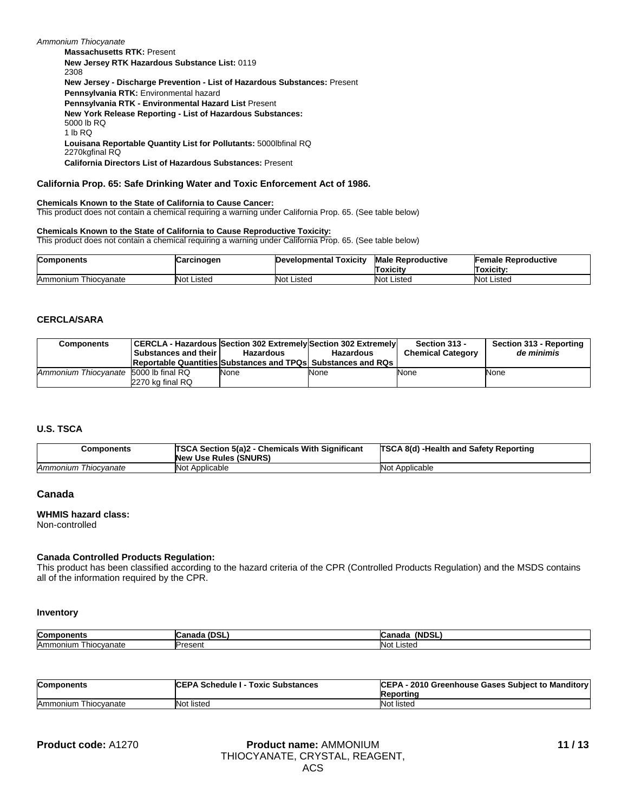**Pennsylvania RTK - Environmental Hazard List** Present **New Jersey RTK Hazardous Substance List:** 0119 2308 **New York Release Reporting - List of Hazardous Substances:** 5000 lb RQ 1 lb RQ **Massachusetts RTK:** Present **Louisana Reportable Quantity List for Pollutants:** 5000lbfinal RQ 2270kgfinal RQ **New Jersey - Discharge Prevention - List of Hazardous Substances:** Present **California Directors List of Hazardous Substances:** Present *Ammonium Thiocyanate* **Pennsylvania RTK:** Environmental hazard

#### **California Prop. 65: Safe Drinking Water and Toxic Enforcement Act of 1986.**

#### **Chemicals Known to the State of California to Cause Cancer:**

This product does not contain a chemical requiring a warning under California Prop. 65. (See table below)

#### **Chemicals Known to the State of California to Cause Reproductive Toxicity:**

This product does not contain a chemical requiring a warning under California Prop. 65. (See table below)

| <b>Components</b>       | Carcinogen        | Developmental Toxicity | <b>Male Reproductive</b><br><b>Toxicity</b> | <b>Female Reproductive</b><br>Toxicity: |
|-------------------------|-------------------|------------------------|---------------------------------------------|-----------------------------------------|
| Ammonium<br>Thiocvanate | <b>Not Listed</b> | Not Listed             | Not<br>Listed                               | Not Listed                              |

#### **CERCLA/SARA**

| <b>Components</b>                     | Substances and their | CERCLA - Hazardous Section 302 Extremely Section 302 Extremely<br>Hazardous<br><b>Reportable Quantities Substances and TPQs Substances and RQs</b> | <b>Hazardous</b> | Section 313 -<br><b>Chemical Category</b> | Section 313 - Reporting<br>de minimis |
|---------------------------------------|----------------------|----------------------------------------------------------------------------------------------------------------------------------------------------|------------------|-------------------------------------------|---------------------------------------|
| Ammonium Thiocvanate 5000 lb final RQ | 2270 kg final RQ     | None                                                                                                                                               | None             | None                                      | None                                  |

#### **U.S. TSCA**

| Components           | <b>TSCA Section 5(a)2 - Chemicals With Significant</b><br><b>New Use Rules (SNURS)</b> | TSCA 8(d) -Health and Safety Reporting |
|----------------------|----------------------------------------------------------------------------------------|----------------------------------------|
| Ammonium Thiocvanate | Not Applicable                                                                         | Not Applicable                         |

#### **Canada**

#### **WHMIS hazard class:**

Non-controlled

#### **Canada Controlled Products Regulation:**

This product has been classified according to the hazard criteria of the CPR (Controlled Products Regulation) and the MSDS contains all of the information required by the CPR.

#### **Inventory**

| Com<br>------<br>onent. | - - -<br>.<br>IUdildud<br>vər<br>ॱ– | (NDSL<br>------<br>udildud |
|-------------------------|-------------------------------------|----------------------------|
| Thiocvanate<br>Ammonium | Present                             | $N \sim$<br>_ıstec<br>ง⊍เ  |

| <b>Components</b>    | <b>ICEPA Schedule I - Toxic Substances</b> | CEPA - 2010 Greenhouse Gases Subject to Manditory<br>Reporting |
|----------------------|--------------------------------------------|----------------------------------------------------------------|
| Ammonium Thiocvanate | Not listed                                 | Not listed                                                     |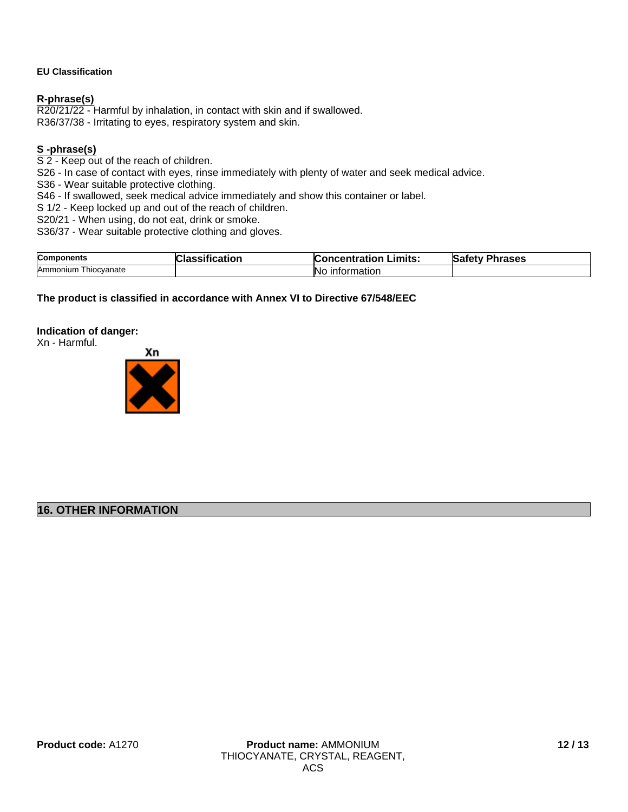# **EU Classification**

# **R-phrase(s)**

R20/21/22 - Harmful by inhalation, in contact with skin and if swallowed. R36/37/38 - Irritating to eyes, respiratory system and skin.

# **S -phrase(s)**

S 2 - Keep out of the reach of children.

S26 - In case of contact with eyes, rinse immediately with plenty of water and seek medical advice.

S36 - Wear suitable protective clothing.

S46 - If swallowed, seek medical advice immediately and show this container or label.

S 1/2 - Keep locked up and out of the reach of children.

S20/21 - When using, do not eat, drink or smoke.

S36/37 - Wear suitable protective clothing and gloves.

| Compo                   | $\rightarrow$ | Limits:       | mases |
|-------------------------|---------------|---------------|-------|
| าnent⊾                  |               | entration     | Nat.  |
| Ammonium<br>Thiocvanate |               | ΙNι<br>nation |       |

# **The product is classified in accordance with Annex VI to Directive 67/548/EEC**

# **Indication of danger:**

Xn - Harmful.



# **16. OTHER INFORMATION**